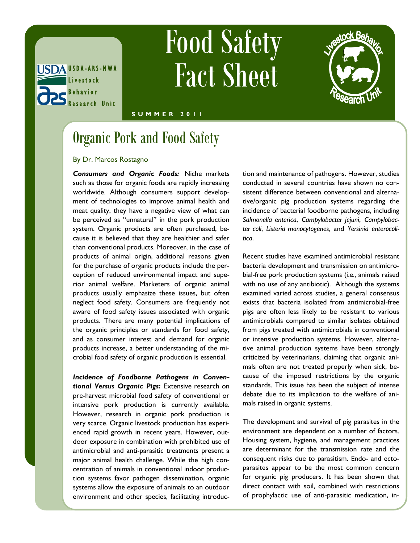

# Food Safety Fact Sheet



#### **S U M M E R 2 0 1 1**

### Organic Pork and Food Safety

#### By Dr. Marcos Rostagno

*Consumers and Organic Foods:* Niche markets such as those for organic foods are rapidly increasing worldwide. Although consumers support development of technologies to improve animal health and meat quality, they have a negative view of what can be perceived as "unnatural" in the pork production system. Organic products are often purchased, because it is believed that they are healthier and safer than conventional products. Moreover, in the case of products of animal origin, additional reasons given for the purchase of organic products include the perception of reduced environmental impact and superior animal welfare. Marketers of organic animal products usually emphasize these issues, but often neglect food safety. Consumers are frequently not aware of food safety issues associated with organic products. There are many potential implications of the organic principles or standards for food safety, and as consumer interest and demand for organic products increase, a better understanding of the microbial food safety of organic production is essential.

*Incidence of Foodborne Pathogens in Conventional Versus Organic Pigs:* Extensive research on pre-harvest microbial food safety of conventional or intensive pork production is currently available. However, research in organic pork production is very scarce. Organic livestock production has experienced rapid growth in recent years. However, outdoor exposure in combination with prohibited use of antimicrobial and anti-parasitic treatments present a major animal health challenge. While the high concentration of animals in conventional indoor production systems favor pathogen dissemination, organic systems allow the exposure of animals to an outdoor environment and other species, facilitating introduction and maintenance of pathogens. However, studies conducted in several countries have shown no consistent difference between conventional and alternative/organic pig production systems regarding the incidence of bacterial foodborne pathogens, including *Salmonella enterica*, *Campylobacter jejuni*, *Campylobacter coli*, *Listeria monocytogenes*, and *Yersinia enterocolitica*.

Recent studies have examined antimicrobial resistant bacteria development and transmission on antimicrobial-free pork production systems (i.e., animals raised with no use of any antibiotic). Although the systems examined varied across studies, a general consensus exists that bacteria isolated from antimicrobial-free pigs are often less likely to be resistant to various antimicrobials compared to similar isolates obtained from pigs treated with antimicrobials in conventional or intensive production systems. However, alternative animal production systems have been strongly criticized by veterinarians, claiming that organic animals often are not treated properly when sick, because of the imposed restrictions by the organic standards. This issue has been the subject of intense debate due to its implication to the welfare of animals raised in organic systems.

The development and survival of pig parasites in the environment are dependent on a number of factors. Housing system, hygiene, and management practices are determinant for the transmission rate and the consequent risks due to parasitism. Endo- and ectoparasites appear to be the most common concern for organic pig producers. It has been shown that direct contact with soil, combined with restrictions of prophylactic use of anti-parasitic medication, in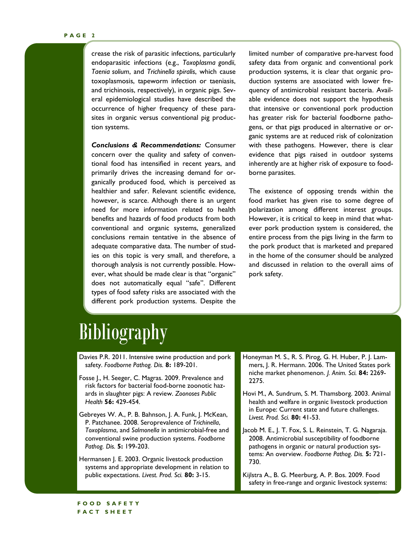crease the risk of parasitic infections, particularly endoparasitic infections (e.g., *Toxoplasma gondii*, *Taenia solium*, and *Trichinella spiralis*, which cause toxoplasmosis, tapeworm infection or taeniasis, and trichinosis, respectively), in organic pigs. Several epidemiological studies have described the occurrence of higher frequency of these parasites in organic versus conventional pig production systems.

*Conclusions & Recommendations:* Consumer concern over the quality and safety of conventional food has intensified in recent years, and primarily drives the increasing demand for organically produced food, which is perceived as healthier and safer. Relevant scientific evidence, however, is scarce. Although there is an urgent need for more information related to health benefits and hazards of food products from both conventional and organic systems, generalized conclusions remain tentative in the absence of adequate comparative data. The number of studies on this topic is very small, and therefore, a thorough analysis is not currently possible. However, what should be made clear is that "organic" does not automatically equal "safe". Different types of food safety risks are associated with the different pork production systems. Despite the

limited number of comparative pre-harvest food safety data from organic and conventional pork production systems, it is clear that organic production systems are associated with lower frequency of antimicrobial resistant bacteria. Available evidence does not support the hypothesis that intensive or conventional pork production has greater risk for bacterial foodborne pathogens, or that pigs produced in alternative or organic systems are at reduced risk of colonization with these pathogens. However, there is clear evidence that pigs raised in outdoor systems inherently are at higher risk of exposure to foodborne parasites.

The existence of opposing trends within the food market has given rise to some degree of polarization among different interest groups. However, it is critical to keep in mind that whatever pork production system is considered, the entire process from the pigs living in the farm to the pork product that is marketed and prepared in the home of the consumer should be analyzed and discussed in relation to the overall aims of pork safety.

### **Bibliography**

- Davies P.R. 2011. Intensive swine production and pork safety. *Foodborne Pathog. Dis.* **8:** 189-201.
- Fosse J., H. Seeger, C. Magras. 2009. Prevalence and risk factors for bacterial food-borne zoonotic hazards in slaughter pigs: A review. *Zoonoses Public Health* **56:** 429-454.
- Gebreyes W. A., P. B. Bahnson, J. A. Funk, J. McKean, P. Patchanee. 2008. Seroprevalence of *Trichinella*, *Toxoplasma*, and *Salmonella* in antimicrobial-free and conventional swine production systems. *Foodborne Pathog. Dis.* **5:** 199-203.
- Hermansen J. E. 2003. Organic livestock production systems and appropriate development in relation to public expectations. *Livest. Prod. Sci.* **80:** 3-15.
- Honeyman M. S., R. S. Pirog, G. H. Huber, P. J. Lammers, J. R. Hermann. 2006. The United States pork niche market phenomenon. *J. Anim. Sci.* **84:** 2269- 2275.
- Hovi M., A. Sundrum, S. M. Thamsborg. 2003. Animal health and welfare in organic livestock production in Europe: Current state and future challenges. *Livest. Prod. Sci.* **80:** 41-53.
- Jacob M. E., J. T. Fox, S. L. Reinstein, T. G. Nagaraja. 2008. Antimicrobial susceptibility of foodborne pathogens in organic or natural production systems: An overview. *Foodborne Pathog. Dis.* **5:** 721- 730.
- Kijlstra A., B. G. Meerburg, A. P. Bos. 2009. Food safety in free-range and organic livestock systems: